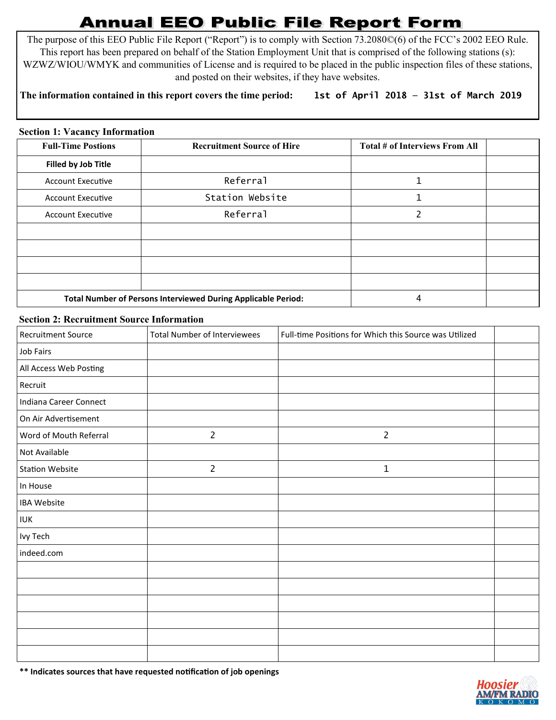## **Annual EEO Public File Report Form**

The purpose of this EEO Public File Report ("Report") is to comply with Section 73.2080©(6) of the FCC's 2002 EEO Rule. This report has been prepared on behalf of the Station Employment Unit that is comprised of the following stations (s): WZWZ/WIOU/WMYK and communities of License and is required to be placed in the public inspection files of these stations, and posted on their websites, if they have websites.

## **The information contained in this report covers the time period: 1st of April 2018 — 31st of March 2019**

## **Section 1: Vacancy Information**

| <b>Full-Time Postions</b>                                     | <b>Recruitment Source of Hire</b> | Total # of Interviews From All |  |
|---------------------------------------------------------------|-----------------------------------|--------------------------------|--|
| Filled by Job Title                                           |                                   |                                |  |
| <b>Account Executive</b>                                      | Referral                          |                                |  |
| <b>Account Executive</b>                                      | Station Website                   |                                |  |
| <b>Account Executive</b>                                      | Referral                          | 2                              |  |
|                                                               |                                   |                                |  |
|                                                               |                                   |                                |  |
|                                                               |                                   |                                |  |
|                                                               |                                   |                                |  |
| Total Number of Persons Interviewed During Applicable Period: |                                   | 4                              |  |

## **Section 2: Recruitment Source Information**

| <b>Recruitment Source</b> | <b>Total Number of Interviewees</b> | Full-time Positions for Which this Source was Utilized |  |
|---------------------------|-------------------------------------|--------------------------------------------------------|--|
| Job Fairs                 |                                     |                                                        |  |
| All Access Web Posting    |                                     |                                                        |  |
| Recruit                   |                                     |                                                        |  |
| Indiana Career Connect    |                                     |                                                        |  |
| On Air Advertisement      |                                     |                                                        |  |
| Word of Mouth Referral    | $\overline{2}$                      | $\overline{2}$                                         |  |
| Not Available             |                                     |                                                        |  |
| <b>Station Website</b>    | $\overline{2}$                      | $\mathbf 1$                                            |  |
| In House                  |                                     |                                                        |  |
| <b>IBA Website</b>        |                                     |                                                        |  |
| <b>IUK</b>                |                                     |                                                        |  |
| Ivy Tech                  |                                     |                                                        |  |
| indeed.com                |                                     |                                                        |  |
|                           |                                     |                                                        |  |
|                           |                                     |                                                        |  |
|                           |                                     |                                                        |  |
|                           |                                     |                                                        |  |
|                           |                                     |                                                        |  |
|                           |                                     |                                                        |  |

**\*\* Indicates sources that have requested notification of job openings**